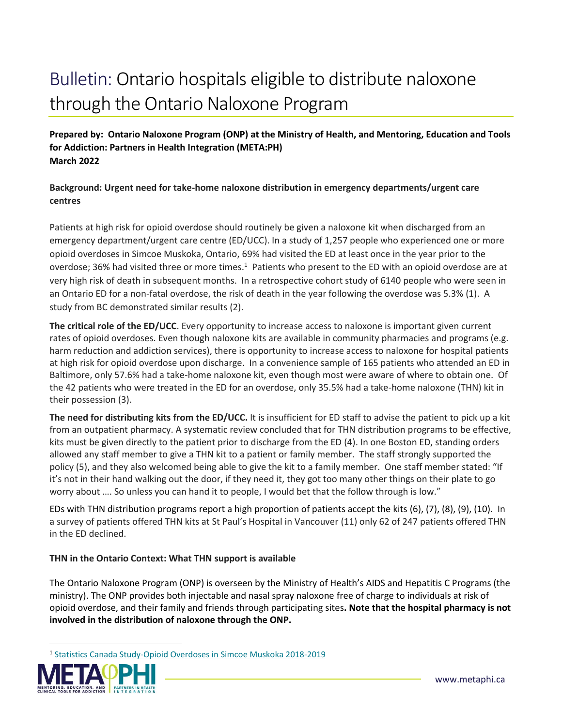# Bulletin: Ontario hospitals eligible to distribute naloxone through the Ontario Naloxone Program

**Prepared by: Ontario Naloxone Program (ONP) at the Ministry of Health, and Mentoring, Education and Tools for Addiction: Partners in Health Integration (META:PH) March 2022**

# **Background: Urgent need for take-home naloxone distribution in emergency departments/urgent care centres**

Patients at high risk for opioid overdose should routinely be given a naloxone kit when discharged from an emergency department/urgent care centre (ED/UCC). In a study of 1,257 people who experienced one or more opioid overdoses in Simcoe Muskoka, Ontario, 69% had visited the ED at least once in the year prior to the overdose; 36% had visited three or more times.<sup>1</sup> Patients who present to the ED with an opioid overdose are at very high risk of death in subsequent months. In a retrospective cohort study of 6140 people who were seen in an Ontario ED for a non-fatal overdose, the risk of death in the year following the overdose was 5.3% (1). A study from BC demonstrated similar results (2).

**The critical role of the ED/UCC**. Every opportunity to increase access to naloxone is important given current rates of opioid overdoses. Even though naloxone kits are available in community pharmacies and programs (e.g. harm reduction and addiction services), there is opportunity to increase access to naloxone for hospital patients at high risk for opioid overdose upon discharge. In a convenience sample of 165 patients who attended an ED in Baltimore, only 57.6% had a take-home naloxone kit, even though most were aware of where to obtain one. Of the 42 patients who were treated in the ED for an overdose, only 35.5% had a take-home naloxone (THN) kit in their possession (3).

**The need for distributing kits from the ED/UCC.** It is insufficient for ED staff to advise the patient to pick up a kit from an outpatient pharmacy. A systematic review concluded that for THN distribution programs to be effective, kits must be given directly to the patient prior to discharge from the ED (4). In one Boston ED, standing orders allowed any staff member to give a THN kit to a patient or family member. The staff strongly supported the policy (5), and they also welcomed being able to give the kit to a family member. One staff member stated: "If it's not in their hand walking out the door, if they need it, they got too many other things on their plate to go worry about .... So unless you can hand it to people, I would bet that the follow through is low."

EDs with THN distribution programs report a high proportion of patients accept the kits (6), (7), (8), (9), (10). In a survey of patients offered THN kits at St Paul's Hospital in Vancouver (11) only 62 of 247 patients offered THN in the ED declined.

# **THN in the Ontario Context: What THN support is available**

The Ontario Naloxone Program (ONP) is overseen by the Ministry of Health's AIDS and Hepatitis C Programs (the ministry). The ONP provides both injectable and nasal spray naloxone free of charge to individuals at risk of opioid overdose, and their family and friends through participating sites**. Note that the hospital pharmacy is not involved in the distribution of naloxone through the ONP.**

<sup>1</sup> [Statistics Canada Study-Opioid Overdoses in Simcoe Muskoka 2018-2019](about:blank)



 $\overline{\phantom{a}}$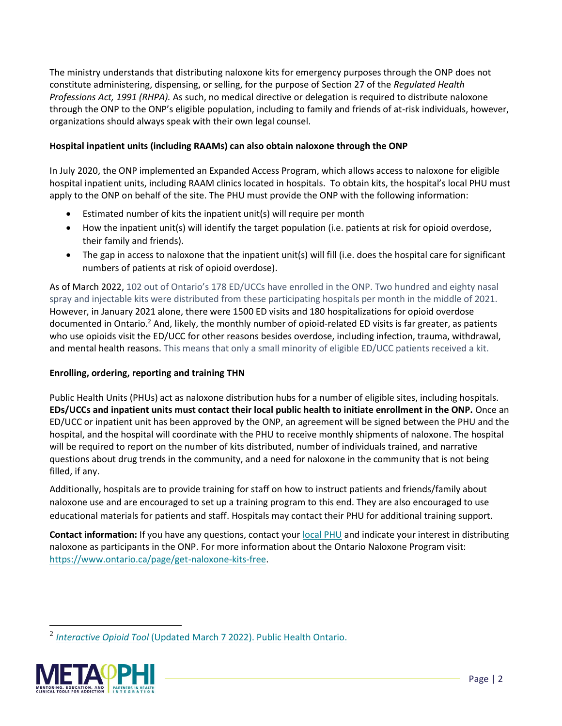The ministry understands that distributing naloxone kits for emergency purposes through the ONP does not constitute administering, dispensing, or selling, for the purpose of Section 27 of the *Regulated Health Professions Act, 1991 (RHPA).* As such, no medical directive or delegation is required to distribute naloxone through the ONP to the ONP's eligible population, including to family and friends of at-risk individuals, however, organizations should always speak with their own legal counsel.

#### **Hospital inpatient units (including RAAMs) can also obtain naloxone through the ONP**

In July 2020, the ONP implemented an Expanded Access Program, which allows access to naloxone for eligible hospital inpatient units, including RAAM clinics located in hospitals. To obtain kits, the hospital's local PHU must apply to the ONP on behalf of the site. The PHU must provide the ONP with the following information:

- Estimated number of kits the inpatient unit(s) will require per month
- How the inpatient unit(s) will identify the target population (i.e. patients at risk for opioid overdose, their family and friends).
- The gap in access to naloxone that the inpatient unit(s) will fill (i.e. does the hospital care for significant numbers of patients at risk of opioid overdose).

As of March 2022, 102 out of Ontario's 178 ED/UCCs have enrolled in the ONP. Two hundred and eighty nasal spray and injectable kits were distributed from these participating hospitals per month in the middle of 2021. However, in January 2021 alone, there were 1500 ED visits and 180 hospitalizations for opioid overdose documented in Ontario.<sup>2</sup> And, likely, the monthly number of opioid-related ED visits is far greater, as patients who use opioids visit the ED/UCC for other reasons besides overdose, including infection, trauma, withdrawal, and mental health reasons. This means that only a small minority of eligible ED/UCC patients received a kit.

# **Enrolling, ordering, reporting and training THN**

Public Health Units (PHUs) act as naloxone distribution hubs for a number of eligible sites, including hospitals. **EDs/UCCs and inpatient units must contact their local public health to initiate enrollment in the ONP.** Once an ED/UCC or inpatient unit has been approved by the ONP, an agreement will be signed between the PHU and the hospital, and the hospital will coordinate with the PHU to receive monthly shipments of naloxone. The hospital will be required to report on the number of kits distributed, number of individuals trained, and narrative questions about drug trends in the community, and a need for naloxone in the community that is not being filled, if any.

Additionally, hospitals are to provide training for staff on how to instruct patients and friends/family about naloxone use and are encouraged to set up a training program to this end. They are also encouraged to use educational materials for patients and staff. Hospitals may contact their PHU for additional training support.

**Contact information:** If you have any questions, contact you[r local PHU](https://www.health.gov.on.ca/en/common/system/services/phu/locations.aspx) and indicate your interest in distributing naloxone as participants in the ONP. For more information about the Ontario Naloxone Program visit: [https://www.ontario.ca/page/get-naloxone-kits-free.](about:blank)

<sup>2</sup> *Interactive Opioid Tool* [\(Updated March 7 2022\). Public Health Ontario.](about:blank) 



 $\overline{a}$